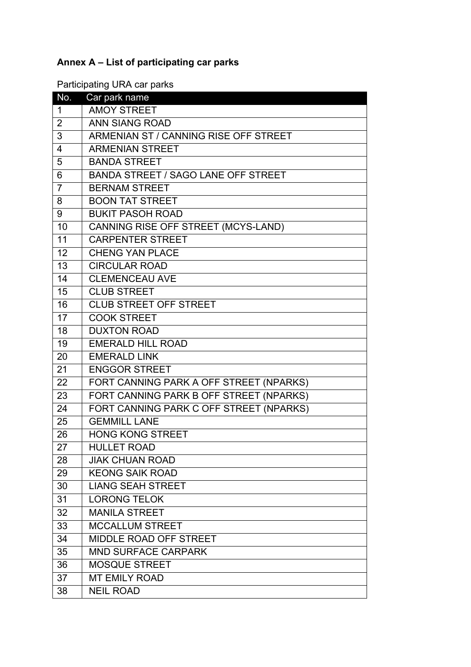## **Annex A – List of participating car parks**

Participating URA car parks

| No.             | Car park name                           |
|-----------------|-----------------------------------------|
| 1               | <b>AMOY STREET</b>                      |
| 2               | <b>ANN SIANG ROAD</b>                   |
| 3               | ARMENIAN ST / CANNING RISE OFF STREET   |
| 4               | <b>ARMENIAN STREET</b>                  |
| 5               | <b>BANDA STREET</b>                     |
| $6\phantom{1}6$ | BANDA STREET / SAGO LANE OFF STREET     |
| $\overline{7}$  | <b>BERNAM STREET</b>                    |
| 8               | <b>BOON TAT STREET</b>                  |
| 9               | <b>BUKIT PASOH ROAD</b>                 |
| 10              | CANNING RISE OFF STREET (MCYS-LAND)     |
| 11              | <b>CARPENTER STREET</b>                 |
| 12              | <b>CHENG YAN PLACE</b>                  |
| 13              | <b>CIRCULAR ROAD</b>                    |
| 14              | <b>CLEMENCEAU AVE</b>                   |
| 15              | <b>CLUB STREET</b>                      |
| 16              | <b>CLUB STREET OFF STREET</b>           |
| 17              | <b>COOK STREET</b>                      |
| 18              | <b>DUXTON ROAD</b>                      |
| 19              | <b>EMERALD HILL ROAD</b>                |
| 20              | <b>EMERALD LINK</b>                     |
| 21              | <b>ENGGOR STREET</b>                    |
| 22              | FORT CANNING PARK A OFF STREET (NPARKS) |
| 23              | FORT CANNING PARK B OFF STREET (NPARKS) |
| 24              | FORT CANNING PARK C OFF STREET (NPARKS) |
| 25              | <b>GEMMILL LANE</b>                     |
| 26              | <b>HONG KONG STREET</b>                 |
| 27              | <b>HULLET ROAD</b>                      |
| 28              | <b>JIAK CHUAN ROAD</b>                  |
| 29              | <b>KEONG SAIK ROAD</b>                  |
| 30              | <b>LIANG SEAH STREET</b>                |
| 31              | <b>LORONG TELOK</b>                     |
| 32              | <b>MANILA STREET</b>                    |
| 33              | <b>MCCALLUM STREET</b>                  |
| 34              | MIDDLE ROAD OFF STREET                  |
| 35              | <b>MND SURFACE CARPARK</b>              |
| 36              | <b>MOSQUE STREET</b>                    |
| 37              | <b>MT EMILY ROAD</b>                    |
| 38              | <b>NEIL ROAD</b>                        |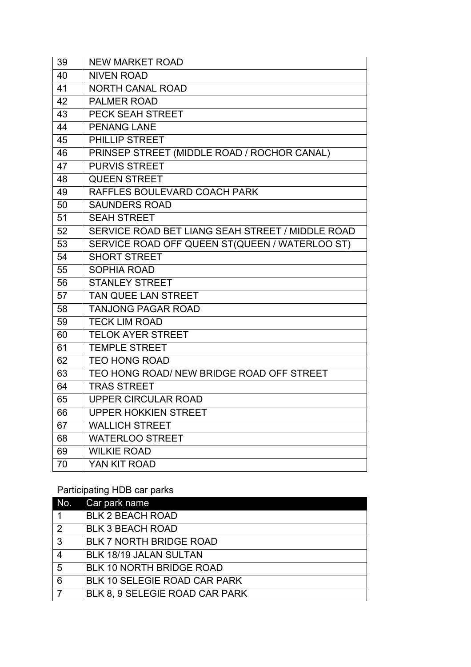| 39 | <b>NEW MARKET ROAD</b>                           |
|----|--------------------------------------------------|
| 40 | <b>NIVEN ROAD</b>                                |
| 41 | <b>NORTH CANAL ROAD</b>                          |
| 42 | <b>PALMER ROAD</b>                               |
| 43 | <b>PECK SEAH STREET</b>                          |
| 44 | <b>PENANG LANE</b>                               |
| 45 | PHILLIP STREET                                   |
| 46 | PRINSEP STREET (MIDDLE ROAD / ROCHOR CANAL)      |
| 47 | <b>PURVIS STREET</b>                             |
| 48 | <b>QUEEN STREET</b>                              |
| 49 | RAFFLES BOULEVARD COACH PARK                     |
| 50 | <b>SAUNDERS ROAD</b>                             |
| 51 | <b>SEAH STREET</b>                               |
| 52 | SERVICE ROAD BET LIANG SEAH STREET / MIDDLE ROAD |
| 53 | SERVICE ROAD OFF QUEEN ST(QUEEN / WATERLOO ST)   |
| 54 | <b>SHORT STREET</b>                              |
| 55 | <b>SOPHIA ROAD</b>                               |
| 56 | <b>STANLEY STREET</b>                            |
| 57 | <b>TAN QUEE LAN STREET</b>                       |
| 58 | <b>TANJONG PAGAR ROAD</b>                        |
| 59 | <b>TECK LIM ROAD</b>                             |
| 60 | <b>TELOK AYER STREET</b>                         |
| 61 | <b>TEMPLE STREET</b>                             |
| 62 | <b>TEO HONG ROAD</b>                             |
| 63 | TEO HONG ROAD/ NEW BRIDGE ROAD OFF STREET        |
| 64 | <b>TRAS STREET</b>                               |
| 65 | UPPER CIRCULAR ROAD                              |
| 66 | <b>UPPER HOKKIEN STREET</b>                      |
| 67 | <b>WALLICH STREET</b>                            |
| 68 | <b>WATERLOO STREET</b>                           |
| 69 | <b>WILKIE ROAD</b>                               |
| 70 | YAN KIT ROAD                                     |

Participating HDB car parks

| No.            | Car park name                  |
|----------------|--------------------------------|
|                | <b>BLK 2 BEACH ROAD</b>        |
| 2              | <b>BLK 3 BEACH ROAD</b>        |
| $\overline{3}$ | <b>BLK 7 NORTH BRIDGE ROAD</b> |
| $\overline{4}$ | BLK 18/19 JALAN SULTAN         |
| 5              | BLK 10 NORTH BRIDGE ROAD       |
| 6              | BLK 10 SELEGIE ROAD CAR PARK   |
|                | BLK 8, 9 SELEGIE ROAD CAR PARK |